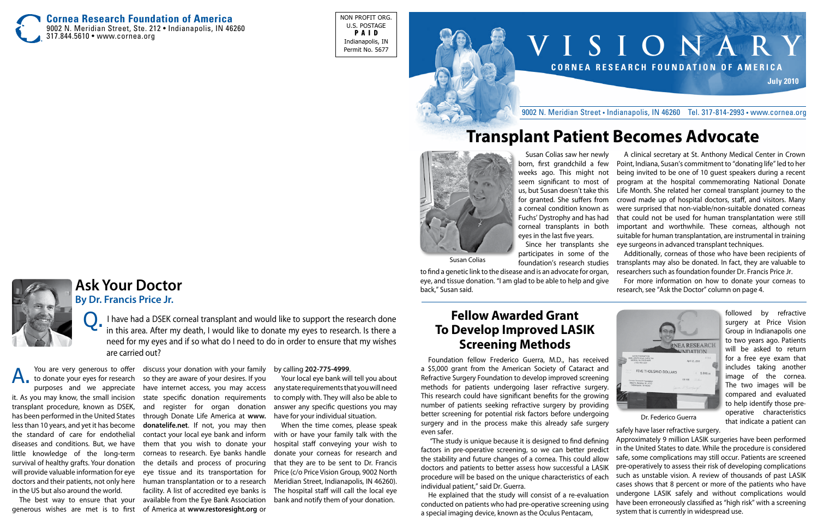# **V I S I O N A R Y C o r n e a R e s e a r c h F o u n d a t i o n o f A m e r i c a July 2010**

#### 9002 N. Meridian Street • Indianapolis, IN 46260 Tel. 317-814-2993 • www.cornea.org

**Cornea Research Foundation of America** 9002 N. Meridian Street, Ste. 212 • Indianapolis, IN 46260 317.844.5610 • www.cornea.org

NON PROFIT ORG. U.S. POSTAGE P A I D Indianapolis, IN Permit No. 5677



Susan Colias saw her newly born, first grandchild a few weeks ago. This might not seem significant to most of us, but Susan doesn't take this for granted. She suffers from a corneal condition known as Fuchs' Dystrophy and has had corneal transplants in both eyes in the last five years.

participates in some of the foundation's research studies

Since her transplants she eye surgeons in advanced transplant techniques. A clinical secretary at St. Anthony Medical Center in Crown Point, Indiana, Susan's commitment to "donating life" led to her being invited to be one of 10 guest speakers during a recent program at the hospital commemorating National Donate Life Month. She related her corneal transplant journey to the crowd made up of hospital doctors, staff, and visitors. Many were surprised that non-viable/non-suitable donated corneas that could not be used for human transplantation were still important and worthwhile. These corneas, although not suitable for human transplantation, are instrumental in training

to find a genetic link to the disease and is an advocate for organ, eye, and tissue donation. "I am glad to be able to help and give back," Susan said.

Additionally, corneas of those who have been recipients of transplants may also be donated. In fact, they are valuable to researchers such as foundation founder Dr. Francis Price Jr.

For more information on how to donate your corneas to research, see "Ask the Doctor" column on page 4.



# **Transplant Patient Becomes Advocate**

### **Fellow Awarded Grant To Develop Improved LASIK Screening Methods**

Foundation fellow Frederico Guerra, M.D., has received a \$5,000 grant from the American Society of Cataract and Refractive Surgery Foundation to develop improved screening methods for patients undergoing laser refractive surgery. This research could have significant benefits for the growing number of patients seeking refractive surgery by providing better screening for potential risk factors before undergoing surgery and in the process make this already safe surgery even safer.

I have had a DSEK corneal transplant and would like to support the research done in this area. After my death, I would like to donate my eyes to research. Is there a need for my eyes and if so what do I need to do in order to ensure that my wishes are carried out?

> factors in pre-operative screening, so we can better predict the stability and future changes of a cornea. This could allow doctors and patients to better assess how successful a LASIK procedure will be based on the unique characteristics of each individual patient," said Dr. Guerra. conducted on patients who had pre-operative screening using a special imaging device, known as the Oculus Pentacam,



The best way to ensure that your generous wishes are met is to first

discuss your donation with your family so they are aware of your desires. If you have internet access, you may access state specific donation requirements and register for organ donation through Donate Life America at **www. donatelife.net**. If not, you may then contact your local eye bank and inform them that you wish to donate your corneas to research. Eye banks handle the details and process of procuring eye tissue and its transportation for facility. A list of accredited eye banks is available from the Eye Bank Association of America at **www.restoresight.org** or

You are very generous to offer to donate your eyes for research purposes and we appreciate it. As you may know, the small incision transplant procedure, known as DSEK, has been performed in the United States less than 10 years, and yet it has become the standard of care for endothelial diseases and conditions. But, we have little knowledge of the long-term survival of healthy grafts. Your donation will provide valuable information for eye doctors and their patients, not only here human transplantation or to a research in the US but also around the world. A.

#### by calling **202-775-4999**.

 "The study is unique because it is designed to find defining He explained that the study will consist of a re-evaluation Approximately 9 million LASIK surgeries have been performed in the United States to date. While the procedure is considered safe, some complications may still occur. Patients are screened pre-operatively to assess their risk of developing complications such as unstable vision. A review of thousands of past LASIK cases shows that 8 percent or more of the patients who have undergone LASIK safely and without complications would have been erroneously classified as "high risk" with a screening system that is currently in widespread use.

Your local eye bank will tell you about any state requirements that you will need to comply with. They will also be able to answer any specific questions you may have for your individual situation.

When the time comes, please speak with or have your family talk with the hospital staff conveying your wish to donate your corneas for research and that they are to be sent to Dr. Francis Price (c/o Price Vision Group, 9002 North Meridian Street, Indianapolis, IN 46260). The hospital staff will call the local eye bank and notify them of your donation.

# **Ask Your Doctor**

**By Dr. Francis Price Jr.**

followed by refractive surgery at Price Vision Group in Indianapolis one to two years ago. Patients will be asked to return for a free eye exam that includes taking another image of the cornea. The two images will be compared and evaluated to help identify those preoperative characteristics that indicate a patient can

safely have laser refractive surgery.

Dr. Federico Guerra